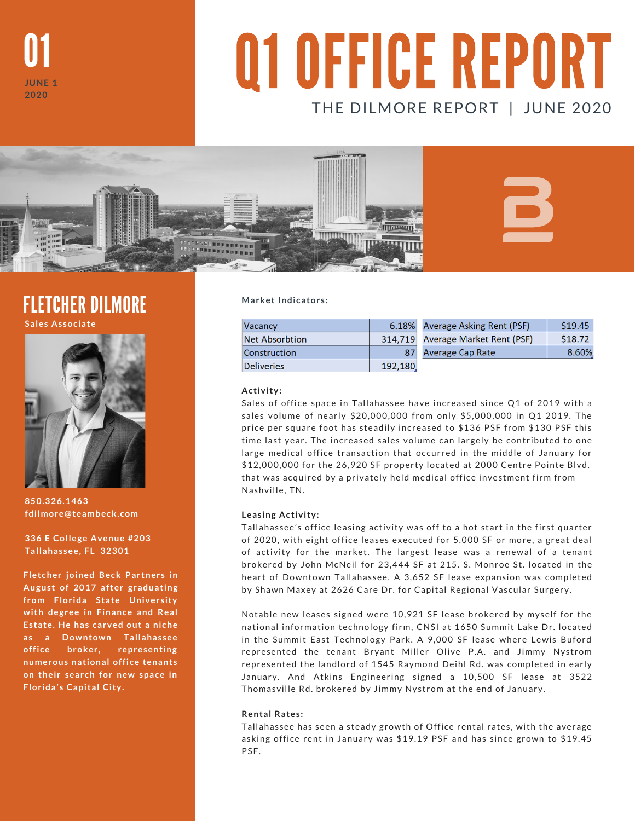

# Q1 OFFICE REPORT THE DILMORE REPORT | JUNE 2020



### FLETCHER DILMORE

**Sales Associate**



**850.326.1463 fdilmore@teambeck.com**

**336 E College Avenue #203 Tallahassee, FL 32301**

**Fletcher joined Beck Partners in August of 2017 after graduating from Florida State University with degree in Finance and Real Estate. He has carved out a niche as a Downtown Tallahassee office broker, representing numerous national office tenants on their search for new space in Florida's Capital City.**

**Market Indicators:**

| <b>Vacancy</b>        |         | 6.18% Average Asking Rent (PSF)   | \$19.45 |
|-----------------------|---------|-----------------------------------|---------|
| <b>Net Absorbtion</b> |         | 314,719 Average Market Rent (PSF) | \$18.72 |
| Construction          | 87      | Average Cap Rate                  | 8.60%   |
| Deliveries            | 192,180 |                                   |         |

**Activity:**

Sales of office space in Tallahassee have increased since Q1 of 2019 with a sales volume of nearly \$20,000,000 from only \$5,000,000 in Q1 2019. The price per square foot has steadily increased to \$136 PSF from \$130 PSF this time last year. The increased sales volume can largely be contributed to one large medical office transaction that occurred in the middle of January for \$12,000,000 for the 26,920 SF property located at 2000 Centre Pointe Blvd. that was acquired by a privately held medical office investment firm from Nashville, TN.

#### **Leasing Activity:**

Tallahassee's office leasing activity was off to a hot start in the first quarter of 2020, with eight office leases executed for 5,000 SF or more, a great deal of activity for the market. The largest lease was a renewal of a tenant brokered by John McNeil for 23,444 SF at 215. S. Monroe St. located in the heart of Downtown Tallahassee. A 3,652 SF lease expansion was completed by Shawn Maxey at 2626 Care Dr. for Capital Regional Vascular Surgery.

Notable new leases signed were 10,921 SF lease brokered by myself for the national information technology firm, CNSI at 1650 Summit Lake Dr. located in the Summit East Technology Park. A 9,000 SF lease where Lewis Buford represented the tenant Bryant Miller Olive P.A. and Jimmy Nystrom represented the landlord of 1545 Raymond Deihl Rd. was completed in early January. And Atkins Engineering signed a 10,500 SF lease at 3522 Thomasville Rd. brokered by Jimmy Nystrom at the end of January.

#### **Rental Rates:**

Tallahassee has seen a steady growth of Office rental rates, with the average asking office rent in January was \$19.19 PSF and has since grown to \$19.45 PSF.